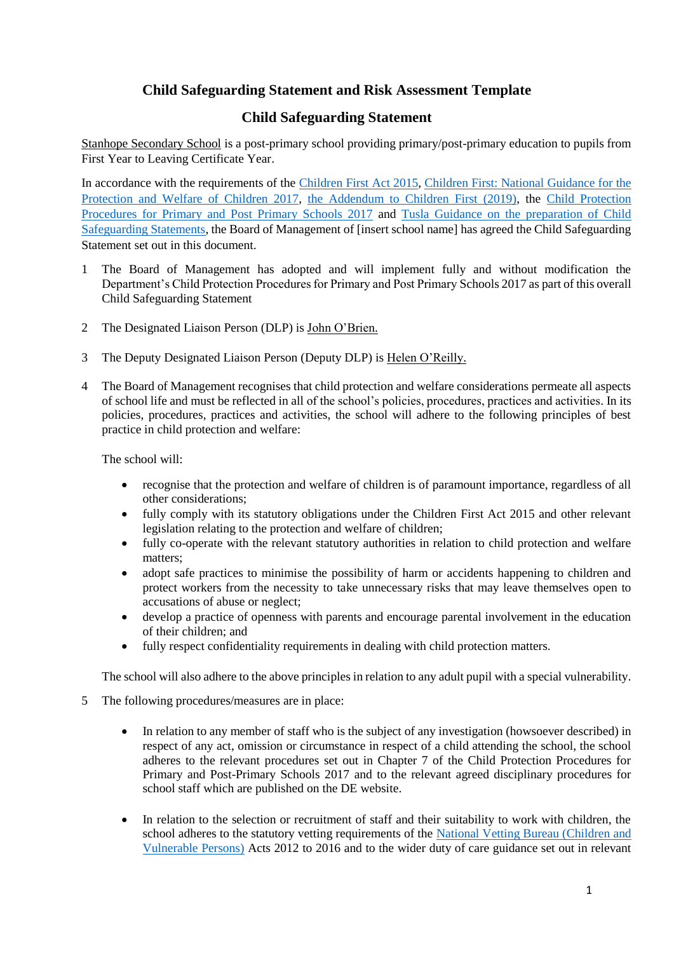# **Child Safeguarding Statement and Risk Assessment Template**

# **Child Safeguarding Statement**

Stanhope Secondary School is a post-primary school providing primary/post-primary education to pupils from First Year to Leaving Certificate Year.

In accordance with the requirements of the [Children First Act 2015,](http://www.irishstatutebook.ie/eli/2015/act/36/enacted/en/pdf) [Children First: National Guidance for the](https://assets.gov.ie/25844/b90aafa55804462f84d05f87f0ca2bf6.pdf)  [Protection and Welfare of Children 2017,](https://assets.gov.ie/25844/b90aafa55804462f84d05f87f0ca2bf6.pdf) [the Addendum to Children First \(2019\),](https://assets.gov.ie/25819/c9744b64dfd6447985eeffa5c0d71bbb.pdf) the [Child Protection](https://www.gov.ie/pdf/?file=https://assets.gov.ie/45063/2d4b5b3d781e4ec1ab4f3e5d198717d9.pdf#page=1)  [Procedures for Primary and Post Primary Schools 2017](https://www.gov.ie/pdf/?file=https://assets.gov.ie/45063/2d4b5b3d781e4ec1ab4f3e5d198717d9.pdf#page=1) and [Tusla Guidance on the preparation of Child](https://www.tusla.ie/uploads/content/4214-TUSLA_Guidance_on_Developing_a_CSS_LR.PDF)  [Safeguarding Statements,](https://www.tusla.ie/uploads/content/4214-TUSLA_Guidance_on_Developing_a_CSS_LR.PDF) the Board of Management of [insert school name] has agreed the Child Safeguarding Statement set out in this document.

- 1 The Board of Management has adopted and will implement fully and without modification the Department's Child Protection Procedures for Primary and Post Primary Schools 2017 as part of this overall Child Safeguarding Statement
- 2 The Designated Liaison Person (DLP) is John O'Brien.
- 3 The Deputy Designated Liaison Person (Deputy DLP) is Helen O'Reilly.
- 4 The Board of Management recognises that child protection and welfare considerations permeate all aspects of school life and must be reflected in all of the school's policies, procedures, practices and activities. In its policies, procedures, practices and activities, the school will adhere to the following principles of best practice in child protection and welfare:

The school will:

- recognise that the protection and welfare of children is of paramount importance, regardless of all other considerations;
- fully comply with its statutory obligations under the Children First Act 2015 and other relevant legislation relating to the protection and welfare of children;
- fully co-operate with the relevant statutory authorities in relation to child protection and welfare matters;
- adopt safe practices to minimise the possibility of harm or accidents happening to children and protect workers from the necessity to take unnecessary risks that may leave themselves open to accusations of abuse or neglect;
- develop a practice of openness with parents and encourage parental involvement in the education of their children; and
- fully respect confidentiality requirements in dealing with child protection matters.

The school will also adhere to the above principles in relation to any adult pupil with a special vulnerability.

- 5 The following procedures/measures are in place:
	- In relation to any member of staff who is the subject of any investigation (howsoever described) in respect of any act, omission or circumstance in respect of a child attending the school, the school adheres to the relevant procedures set out in Chapter 7 of the Child Protection Procedures for Primary and Post-Primary Schools 2017 and to the relevant agreed disciplinary procedures for school staff which are published on the DE website.
	- In relation to the selection or recruitment of staff and their suitability to work with children, the school adheres to the statutory vetting requirements of the [National Vetting Bureau \(Children and](https://revisedacts.lawreform.ie/eli/2012/act/47/revised/en/pdf)  [Vulnerable Persons\)](https://revisedacts.lawreform.ie/eli/2012/act/47/revised/en/pdf) Acts 2012 to 2016 and to the wider duty of care guidance set out in relevant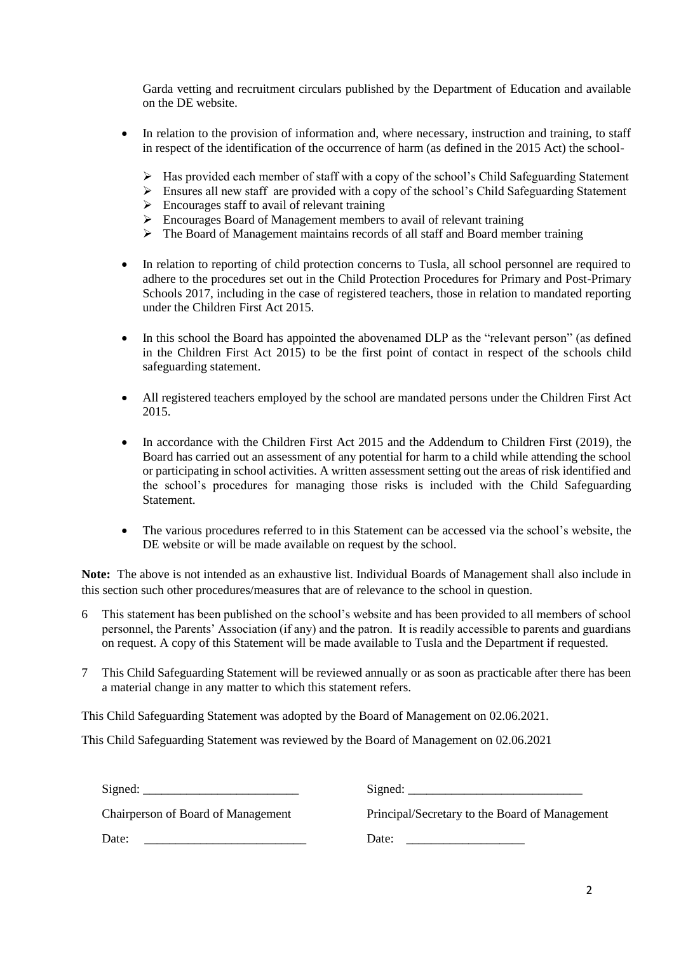Garda vetting and recruitment circulars published by the Department of Education and available on the DE website.

- In relation to the provision of information and, where necessary, instruction and training, to staff in respect of the identification of the occurrence of harm (as defined in the 2015 Act) the school-
	- Has provided each member of staff with a copy of the school's Child Safeguarding Statement
	- Ensures all new staff are provided with a copy of the school's Child Safeguarding Statement
	- $\triangleright$  Encourages staff to avail of relevant training
	- $\triangleright$  Encourages Board of Management members to avail of relevant training
	- The Board of Management maintains records of all staff and Board member training
- In relation to reporting of child protection concerns to Tusla, all school personnel are required to adhere to the procedures set out in the Child Protection Procedures for Primary and Post-Primary Schools 2017, including in the case of registered teachers, those in relation to mandated reporting under the Children First Act 2015.
- In this school the Board has appointed the abovenamed DLP as the "relevant person" (as defined in the Children First Act 2015) to be the first point of contact in respect of the schools child safeguarding statement.
- All registered teachers employed by the school are mandated persons under the Children First Act 2015.
- In accordance with the Children First Act 2015 and the Addendum to Children First (2019), the Board has carried out an assessment of any potential for harm to a child while attending the school or participating in school activities. A written assessment setting out the areas of risk identified and the school's procedures for managing those risks is included with the Child Safeguarding Statement.
- The various procedures referred to in this Statement can be accessed via the school's website, the DE website or will be made available on request by the school.

**Note:** The above is not intended as an exhaustive list. Individual Boards of Management shall also include in this section such other procedures/measures that are of relevance to the school in question.

- 6 This statement has been published on the school's website and has been provided to all members of school personnel, the Parents' Association (if any) and the patron. It is readily accessible to parents and guardians on request. A copy of this Statement will be made available to Tusla and the Department if requested.
- 7 This Child Safeguarding Statement will be reviewed annually or as soon as practicable after there has been a material change in any matter to which this statement refers.

This Child Safeguarding Statement was adopted by the Board of Management on 02.06.2021.

This Child Safeguarding Statement was reviewed by the Board of Management on 02.06.2021

| $Sigma:$ Signed:                   | $Sigma:$ Signed:                               |
|------------------------------------|------------------------------------------------|
| Chairperson of Board of Management | Principal/Secretary to the Board of Management |
| Date:                              | Date:                                          |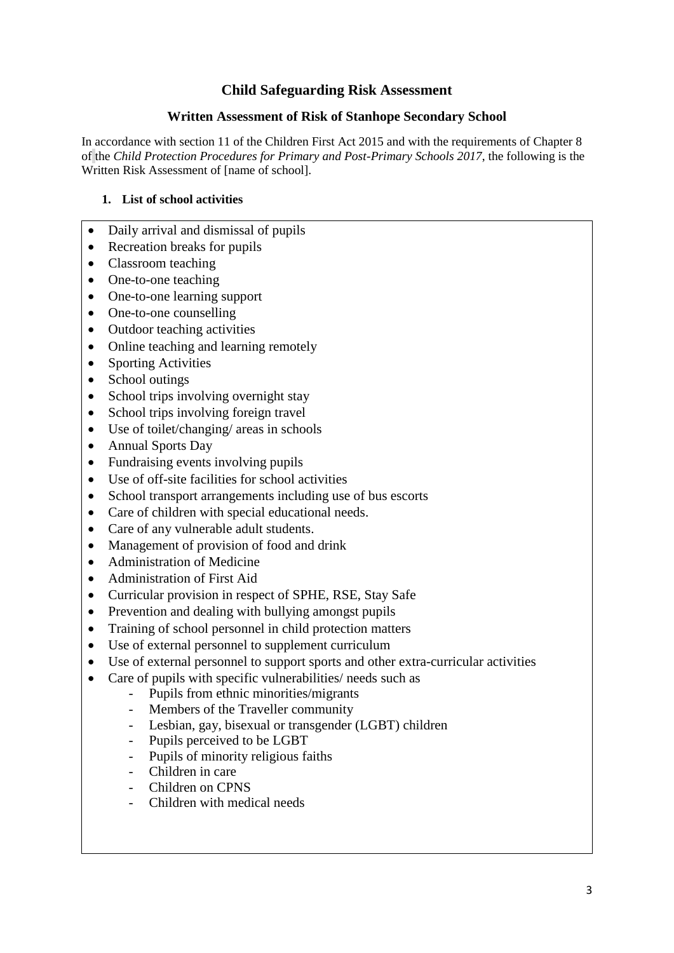# **Child Safeguarding Risk Assessment**

#### **Written Assessment of Risk of Stanhope Secondary School**

In accordance with section 11 of the Children First Act 2015 and with the requirements of Chapter 8 of the *Child Protection Procedures for Primary and Post-Primary Schools 2017*, the following is the Written Risk Assessment of [name of school].

### **1. List of school activities**

- Daily arrival and dismissal of pupils
- Recreation breaks for pupils
- Classroom teaching
- One-to-one teaching
- One-to-one learning support
- One-to-one counselling
- Outdoor teaching activities
- Online teaching and learning remotely
- Sporting Activities
- School outings
- School trips involving overnight stay
- School trips involving foreign travel
- Use of toilet/changing/ areas in schools
- Annual Sports Day
- Fundraising events involving pupils
- Use of off-site facilities for school activities
- School transport arrangements including use of bus escorts
- Care of children with special educational needs.
- Care of any vulnerable adult students.
- Management of provision of food and drink
- Administration of Medicine
- Administration of First Aid
- Curricular provision in respect of SPHE, RSE, Stay Safe
- Prevention and dealing with bullying amongst pupils
- Training of school personnel in child protection matters
- Use of external personnel to supplement curriculum
- Use of external personnel to support sports and other extra-curricular activities
- Care of pupils with specific vulnerabilities/ needs such as
	- Pupils from ethnic minorities/migrants
	- Members of the Traveller community
	- Lesbian, gay, bisexual or transgender (LGBT) children
	- Pupils perceived to be LGBT
	- Pupils of minority religious faiths
	- Children in care
	- Children on CPNS
	- Children with medical needs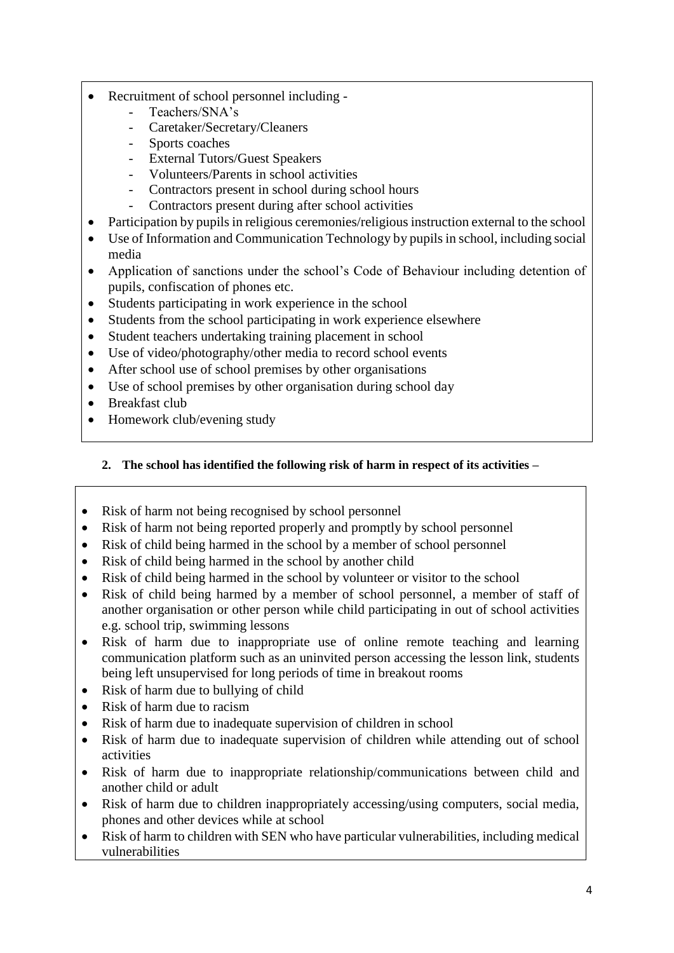- Recruitment of school personnel including
	- Teachers/SNA's
		- Caretaker/Secretary/Cleaners
	- Sports coaches
	- External Tutors/Guest Speakers
	- Volunteers/Parents in school activities
	- Contractors present in school during school hours
	- Contractors present during after school activities
- Participation by pupils in religious ceremonies/religious instruction external to the school
- Use of Information and Communication Technology by pupils in school, including social media
- Application of sanctions under the school's Code of Behaviour including detention of pupils, confiscation of phones etc.
- Students participating in work experience in the school
- Students from the school participating in work experience elsewhere
- Student teachers undertaking training placement in school
- Use of video/photography/other media to record school events
- After school use of school premises by other organisations
- Use of school premises by other organisation during school day
- Breakfast club
- Homework club/evening study
	- **2. The school has identified the following risk of harm in respect of its activities –**
- Risk of harm not being recognised by school personnel
- Risk of harm not being reported properly and promptly by school personnel
- Risk of child being harmed in the school by a member of school personnel
- Risk of child being harmed in the school by another child
- Risk of child being harmed in the school by volunteer or visitor to the school
- Risk of child being harmed by a member of school personnel, a member of staff of another organisation or other person while child participating in out of school activities e.g. school trip, swimming lessons
- Risk of harm due to inappropriate use of online remote teaching and learning communication platform such as an uninvited person accessing the lesson link, students being left unsupervised for long periods of time in breakout rooms
- Risk of harm due to bullying of child
- Risk of harm due to racism
- Risk of harm due to inadequate supervision of children in school
- Risk of harm due to inadequate supervision of children while attending out of school activities
- Risk of harm due to inappropriate relationship/communications between child and another child or adult
- Risk of harm due to children inappropriately accessing/using computers, social media, phones and other devices while at school
- Risk of harm to children with SEN who have particular vulnerabilities, including medical vulnerabilities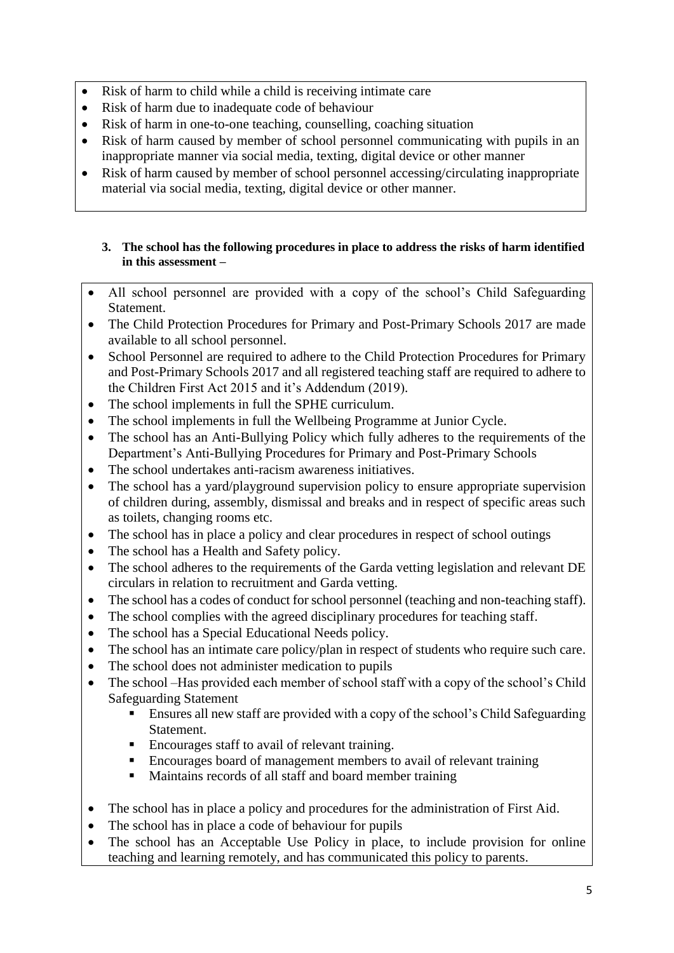- Risk of harm to child while a child is receiving intimate care
- Risk of harm due to inadequate code of behaviour
- Risk of harm in one-to-one teaching, counselling, coaching situation
- Risk of harm caused by member of school personnel communicating with pupils in an inappropriate manner via social media, texting, digital device or other manner
- Risk of harm caused by member of school personnel accessing/circulating inappropriate material via social media, texting, digital device or other manner.

### **3. The school has the following procedures in place to address the risks of harm identified in this assessment –**

- All school personnel are provided with a copy of the school's Child Safeguarding Statement.
- The Child Protection Procedures for Primary and Post-Primary Schools 2017 are made available to all school personnel.
- School Personnel are required to adhere to the Child Protection Procedures for Primary and Post-Primary Schools 2017 and all registered teaching staff are required to adhere to the Children First Act 2015 and it's Addendum (2019).
- The school implements in full the SPHE curriculum.
- The school implements in full the Wellbeing Programme at Junior Cycle.
- The school has an Anti-Bullying Policy which fully adheres to the requirements of the Department's Anti-Bullying Procedures for Primary and Post-Primary Schools
- The school undertakes anti-racism awareness initiatives.
- The school has a yard/playground supervision policy to ensure appropriate supervision of children during, assembly, dismissal and breaks and in respect of specific areas such as toilets, changing rooms etc.
- The school has in place a policy and clear procedures in respect of school outings
- The school has a Health and Safety policy.
- The school adheres to the requirements of the Garda vetting legislation and relevant DE circulars in relation to recruitment and Garda vetting.
- The school has a codes of conduct for school personnel (teaching and non-teaching staff).
- The school complies with the agreed disciplinary procedures for teaching staff.
- The school has a Special Educational Needs policy.
- The school has an intimate care policy/plan in respect of students who require such care.
- The school does not administer medication to pupils
- The school –Has provided each member of school staff with a copy of the school's Child Safeguarding Statement
	- Ensures all new staff are provided with a copy of the school's Child Safeguarding Statement.
	- Encourages staff to avail of relevant training.
	- Encourages board of management members to avail of relevant training
	- Maintains records of all staff and board member training
- The school has in place a policy and procedures for the administration of First Aid.
- The school has in place a code of behaviour for pupils
- The school has an Acceptable Use Policy in place, to include provision for online teaching and learning remotely, and has communicated this policy to parents.